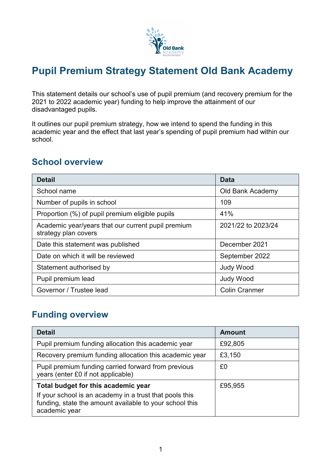

# **Pupil Premium Strategy Statement Old Bank Academy**

This statement details our school's use of pupil premium (and recovery premium for the 2021 to 2022 academic year) funding to help improve the attainment of our disadvantaged pupils.

It outlines our pupil premium strategy, how we intend to spend the funding in this academic year and the effect that last year's spending of pupil premium had within our school.

#### **School overview**

| <b>Detail</b>                                                              | Data                 |
|----------------------------------------------------------------------------|----------------------|
| School name                                                                | Old Bank Academy     |
| Number of pupils in school                                                 | 109                  |
| Proportion (%) of pupil premium eligible pupils                            | 41%                  |
| Academic year/years that our current pupil premium<br>strategy plan covers | 2021/22 to 2023/24   |
| Date this statement was published                                          | December 2021        |
| Date on which it will be reviewed                                          | September 2022       |
| Statement authorised by                                                    | <b>Judy Wood</b>     |
| Pupil premium lead                                                         | <b>Judy Wood</b>     |
| Governor / Trustee lead                                                    | <b>Colin Cranmer</b> |

#### **Funding overview**

| <b>Detail</b>                                                                                                                                                                         | <b>Amount</b> |
|---------------------------------------------------------------------------------------------------------------------------------------------------------------------------------------|---------------|
| Pupil premium funding allocation this academic year                                                                                                                                   | £92,805       |
| Recovery premium funding allocation this academic year                                                                                                                                | £3,150        |
| Pupil premium funding carried forward from previous<br>years (enter £0 if not applicable)                                                                                             | £0            |
| Total budget for this academic year<br>£95,955<br>If your school is an academy in a trust that pools this<br>funding, state the amount available to your school this<br>academic year |               |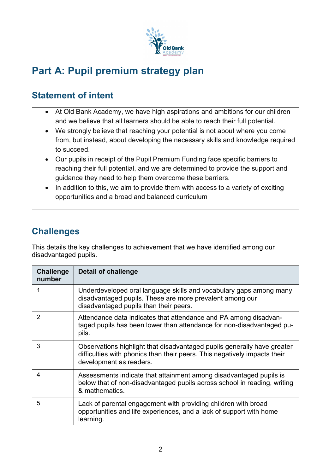

# **Part A: Pupil premium strategy plan**

# **Statement of intent**

- At Old Bank Academy, we have high aspirations and ambitions for our children and we believe that all learners should be able to reach their full potential.
- We strongly believe that reaching your potential is not about where you come from, but instead, about developing the necessary skills and knowledge required to succeed.
- Our pupils in receipt of the Pupil Premium Funding face specific barriers to reaching their full potential, and we are determined to provide the support and guidance they need to help them overcome these barriers.
- In addition to this, we aim to provide them with access to a variety of exciting opportunities and a broad and balanced curriculum

# **Challenges**

This details the key challenges to achievement that we have identified among our disadvantaged pupils.

| <b>Challenge</b><br>number | <b>Detail of challenge</b>                                                                                                                                                      |
|----------------------------|---------------------------------------------------------------------------------------------------------------------------------------------------------------------------------|
|                            | Underdeveloped oral language skills and vocabulary gaps among many<br>disadvantaged pupils. These are more prevalent among our<br>disadvantaged pupils than their peers.        |
| 2                          | Attendance data indicates that attendance and PA among disadvan-<br>taged pupils has been lower than attendance for non-disadvantaged pu-<br>pils.                              |
| 3                          | Observations highlight that disadvantaged pupils generally have greater<br>difficulties with phonics than their peers. This negatively impacts their<br>development as readers. |
| 4                          | Assessments indicate that attainment among disadvantaged pupils is<br>below that of non-disadvantaged pupils across school in reading, writing<br>& mathematics.                |
| 5                          | Lack of parental engagement with providing children with broad<br>opportunities and life experiences, and a lack of support with home<br>learning.                              |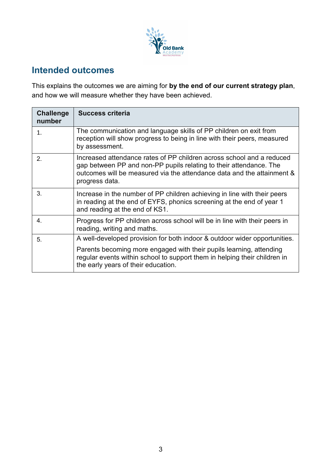

# **Intended outcomes**

This explains the outcomes we are aiming for **by the end of our current strategy plan**, and how we will measure whether they have been achieved.

| <b>Challenge</b><br>number | <b>Success criteria</b>                                                                                                                                                                                                                 |
|----------------------------|-----------------------------------------------------------------------------------------------------------------------------------------------------------------------------------------------------------------------------------------|
| 1.                         | The communication and language skills of PP children on exit from<br>reception will show progress to being in line with their peers, measured<br>by assessment.                                                                         |
| 2.                         | Increased attendance rates of PP children across school and a reduced<br>gap between PP and non-PP pupils relating to their attendance. The<br>outcomes will be measured via the attendance data and the attainment &<br>progress data. |
| 3.                         | Increase in the number of PP children achieving in line with their peers<br>in reading at the end of EYFS, phonics screening at the end of year 1<br>and reading at the end of KS1.                                                     |
| 4.                         | Progress for PP children across school will be in line with their peers in<br>reading, writing and maths.                                                                                                                               |
| 5.                         | A well-developed provision for both indoor & outdoor wider opportunities.                                                                                                                                                               |
|                            | Parents becoming more engaged with their pupils learning, attending<br>regular events within school to support them in helping their children in<br>the early years of their education.                                                 |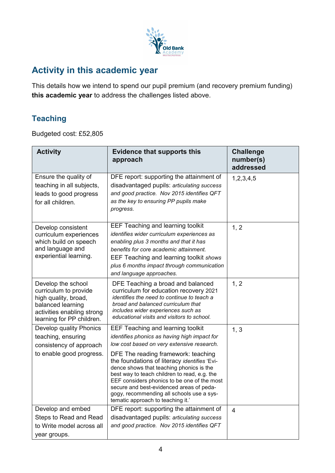

### **Activity in this academic year**

This details how we intend to spend our pupil premium (and recovery premium funding) **this academic year** to address the challenges listed above.

#### **Teaching**

Budgeted cost: £52,805

| <b>Activity</b>                                                                                                                                     | <b>Evidence that supports this</b><br>approach                                                                                                                                                                                                                                                                                                                                                                       | <b>Challenge</b><br>number(s)<br>addressed |
|-----------------------------------------------------------------------------------------------------------------------------------------------------|----------------------------------------------------------------------------------------------------------------------------------------------------------------------------------------------------------------------------------------------------------------------------------------------------------------------------------------------------------------------------------------------------------------------|--------------------------------------------|
| Ensure the quality of<br>teaching in all subjects,<br>leads to good progress<br>for all children.                                                   | DFE report: supporting the attainment of<br>disadvantaged pupils: articulating success<br>and good practice. Nov 2015 identifies QFT<br>as the key to ensuring PP pupils make<br>progress.                                                                                                                                                                                                                           | 1, 2, 3, 4, 5                              |
| Develop consistent<br>curriculum experiences<br>which build on speech<br>and language and<br>experiential learning.                                 | <b>EEF Teaching and learning toolkit</b><br>identifies wider curriculum experiences as<br>enabling plus 3 months and that it has<br>benefits for core academic attainment.<br>EEF Teaching and learning toolkit shows<br>plus 6 months impact through communication<br>and language approaches.                                                                                                                      | 1, 2                                       |
| Develop the school<br>curriculum to provide<br>high quality, broad,<br>balanced learning<br>activities enabling strong<br>learning for PP children. | DFE Teaching a broad and balanced<br>curriculum for education recovery 2021<br>identifies the need to continue to teach a<br>broad and balanced curriculum that<br>includes wider experiences such as<br>educational visits and visitors to school.                                                                                                                                                                  | 1, 2                                       |
| Develop quality Phonics<br>teaching, ensuring<br>consistency of approach<br>to enable good progress.                                                | <b>EEF Teaching and learning toolkit</b><br>identifies phonics as having high impact for<br>low cost based on very extensive research.<br>DFE The reading framework: teaching<br>the foundations of literacy identifies 'Evi-<br>dence shows that teaching phonics is the<br>best way to teach children to read, e.g. the<br>EEF considers phonics to be one of the most<br>secure and best-evidenced areas of peda- | 1, 3                                       |
| Develop and embed<br>Steps to Read and Read<br>to Write model across all                                                                            | gogy, recommending all schools use a sys-<br>tematic approach to teaching it.'<br>DFE report: supporting the attainment of<br>disadvantaged pupils: articulating success<br>and good practice. Nov 2015 identifies QFT                                                                                                                                                                                               | 4                                          |
| year groups.                                                                                                                                        |                                                                                                                                                                                                                                                                                                                                                                                                                      |                                            |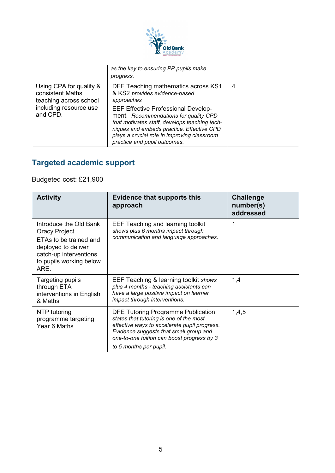

|                                                                                                             | as the key to ensuring PP pupils make<br>progress.                                                                                                                                                                                                                                                                                                     |   |
|-------------------------------------------------------------------------------------------------------------|--------------------------------------------------------------------------------------------------------------------------------------------------------------------------------------------------------------------------------------------------------------------------------------------------------------------------------------------------------|---|
| Using CPA for quality &<br>consistent Maths<br>teaching across school<br>including resource use<br>and CPD. | DFE Teaching mathematics across KS1<br>& KS2 provides evidence-based<br>approaches<br><b>EEF Effective Professional Develop-</b><br>ment. Recommendations for quality CPD<br>that motivates staff, develops teaching tech-<br>niques and embeds practice. Effective CPD<br>plays a crucial role in improving classroom<br>practice and pupil outcomes. | 4 |

# **Targeted academic support**

Budgeted cost: £21,900

| <b>Activity</b>                                                                                                                                        | <b>Evidence that supports this</b><br>approach                                                                                                                                                                                                         | <b>Challenge</b><br>number(s)<br>addressed |
|--------------------------------------------------------------------------------------------------------------------------------------------------------|--------------------------------------------------------------------------------------------------------------------------------------------------------------------------------------------------------------------------------------------------------|--------------------------------------------|
| Introduce the Old Bank<br>Oracy Project.<br>ETAs to be trained and<br>deployed to deliver<br>catch-up interventions<br>to pupils working below<br>ARE. | <b>EEF Teaching and learning toolkit</b><br>shows plus 6 months impact through<br>communication and language approaches.                                                                                                                               | 1                                          |
| Targeting pupils<br>through ETA<br>interventions in English<br>& Maths                                                                                 | EEF Teaching & learning toolkit shows<br>plus 4 months - teaching assistants can<br>have a large positive impact on learner<br>impact through interventions.                                                                                           | 1,4                                        |
| NTP tutoring<br>programme targeting<br>Year 6 Maths                                                                                                    | <b>DFE Tutoring Programme Publication</b><br>states that tutoring is one of the most<br>effective ways to accelerate pupil progress.<br>Evidence suggests that small group and<br>one-to-one tuition can boost progress by 3<br>to 5 months per pupil. | 1,4,5                                      |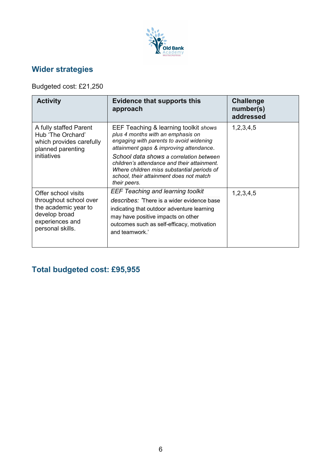

### **Wider strategies**

Budgeted cost: £21,250

| <b>Activity</b>                                                                                                               | <b>Evidence that supports this</b><br>approach                                                                                                                                                                                                                                                                                                                      | <b>Challenge</b><br>number(s)<br>addressed |
|-------------------------------------------------------------------------------------------------------------------------------|---------------------------------------------------------------------------------------------------------------------------------------------------------------------------------------------------------------------------------------------------------------------------------------------------------------------------------------------------------------------|--------------------------------------------|
| A fully staffed Parent<br>Hub 'The Orchard'<br>which provides carefully<br>planned parenting<br>initiatives                   | EEF Teaching & learning toolkit shows<br>plus 4 months with an emphasis on<br>engaging with parents to avoid widening<br>attainment gaps & improving attendance.<br>School data shows a correlation between<br>children's attendance and their attainment.<br>Where children miss substantial periods of<br>school, their attainment does not match<br>their peers. | 1, 2, 3, 4, 5                              |
| Offer school visits<br>throughout school over<br>the academic year to<br>develop broad<br>experiences and<br>personal skills. | <b>EEF Teaching and learning toolkit</b><br>describes: There is a wider evidence base<br>indicating that outdoor adventure learning<br>may have positive impacts on other<br>outcomes such as self-efficacy, motivation<br>and teamwork.'                                                                                                                           | 1,2,3,4,5                                  |

# **Total budgeted cost: £95,955**